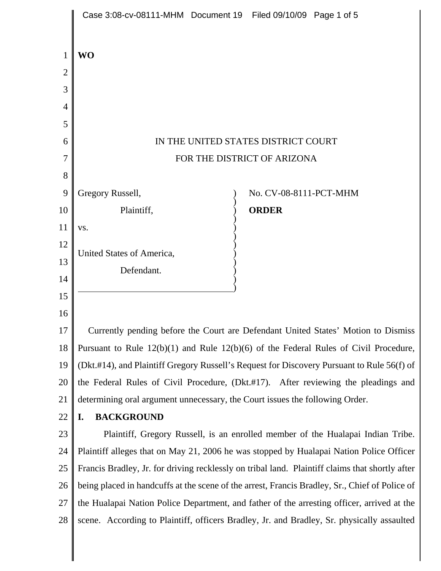|                | Case 3:08-cv-08111-MHM Document 19 Filed 09/10/09 Page 1 of 5                                   |
|----------------|-------------------------------------------------------------------------------------------------|
| $\mathbf 1$    | <b>WO</b>                                                                                       |
| $\overline{2}$ |                                                                                                 |
| 3              |                                                                                                 |
| $\overline{4}$ |                                                                                                 |
| 5              |                                                                                                 |
| 6              | IN THE UNITED STATES DISTRICT COURT                                                             |
| 7              | FOR THE DISTRICT OF ARIZONA                                                                     |
| 8              |                                                                                                 |
| 9              | Gregory Russell,<br>No. CV-08-8111-PCT-MHM                                                      |
| 10             | Plaintiff,<br><b>ORDER</b>                                                                      |
| 11             | VS.                                                                                             |
| 12             | United States of America,                                                                       |
| 13             | Defendant.                                                                                      |
| 14             |                                                                                                 |
| 15             |                                                                                                 |
| 16             |                                                                                                 |
| 17             | Currently pending before the Court are Defendant United States' Motion to Dismiss               |
| 18             | Pursuant to Rule $12(b)(1)$ and Rule $12(b)(6)$ of the Federal Rules of Civil Procedure,        |
| 19             | (Dkt.#14), and Plaintiff Gregory Russell's Request for Discovery Pursuant to Rule 56(f) of      |
| 20             | the Federal Rules of Civil Procedure, (Dkt.#17). After reviewing the pleadings and              |
| 21             | determining oral argument unnecessary, the Court issues the following Order.                    |
| 22             | <b>BACKGROUND</b><br>I.                                                                         |
| 23             | Plaintiff, Gregory Russell, is an enrolled member of the Hualapai Indian Tribe.                 |
| 24             | Plaintiff alleges that on May 21, 2006 he was stopped by Hualapai Nation Police Officer         |
| 25             | Francis Bradley, Jr. for driving recklessly on tribal land. Plaintiff claims that shortly after |
| 26             | being placed in handcuffs at the scene of the arrest, Francis Bradley, Sr., Chief of Police of  |
| 27             | the Hualapai Nation Police Department, and father of the arresting officer, arrived at the      |
| 28             | scene. According to Plaintiff, officers Bradley, Jr. and Bradley, Sr. physically assaulted      |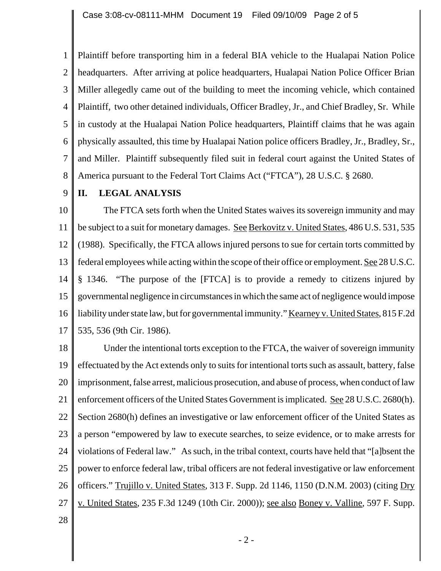1 2 3 4 5 6 7 8 Plaintiff before transporting him in a federal BIA vehicle to the Hualapai Nation Police headquarters. After arriving at police headquarters, Hualapai Nation Police Officer Brian Miller allegedly came out of the building to meet the incoming vehicle, which contained Plaintiff, two other detained individuals, Officer Bradley, Jr., and Chief Bradley, Sr. While in custody at the Hualapai Nation Police headquarters, Plaintiff claims that he was again physically assaulted, this time by Hualapai Nation police officers Bradley, Jr., Bradley, Sr., and Miller. Plaintiff subsequently filed suit in federal court against the United States of America pursuant to the Federal Tort Claims Act ("FTCA"), 28 U.S.C. § 2680.

9 **II. LEGAL ANALYSIS**

10 11 12 13 14 15 16 17 The FTCA sets forth when the United States waives its sovereign immunity and may be subject to a suit for monetary damages. See Berkovitz v. United States, 486 U.S. 531, 535 (1988). Specifically, the FTCA allows injured persons to sue for certain torts committed by federal employees while acting within the scope of their office or employment. See 28 U.S.C. § 1346. "The purpose of the [FTCA] is to provide a remedy to citizens injured by governmental negligence in circumstances in which the same act of negligence would impose liability under state law, but for governmental immunity." Kearney v. United States, 815 F.2d 535, 536 (9th Cir. 1986).

18 19 20 21 22 23 24 25 26 27 Under the intentional torts exception to the FTCA, the waiver of sovereign immunity effectuated by the Act extends only to suits for intentional torts such as assault, battery, false imprisonment, false arrest, malicious prosecution, and abuse of process, when conduct of law enforcement officers of the United States Government is implicated. See 28 U.S.C. 2680(h). Section 2680(h) defines an investigative or law enforcement officer of the United States as a person "empowered by law to execute searches, to seize evidence, or to make arrests for violations of Federal law." As such, in the tribal context, courts have held that "[a]bsent the power to enforce federal law, tribal officers are not federal investigative or law enforcement officers." Trujillo v. United States, 313 F. Supp. 2d 1146, 1150 (D.N.M. 2003) (citing Dry v. United States, 235 F.3d 1249 (10th Cir. 2000)); see also Boney v. Valline, 597 F. Supp.

28

- 2 -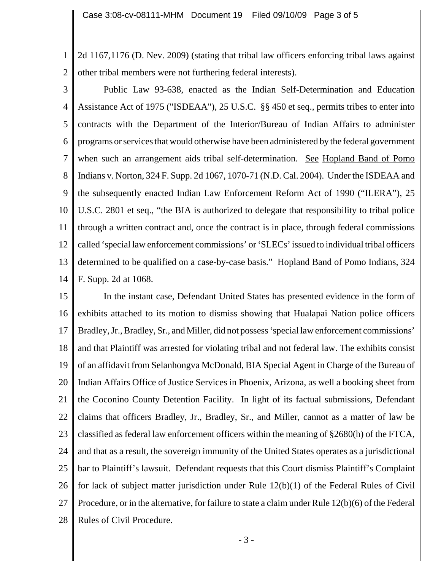1 2 2d 1167,1176 (D. Nev. 2009) (stating that tribal law officers enforcing tribal laws against other tribal members were not furthering federal interests).

3 4 5 6 7 8 9 10 11 12 13 14 Public Law 93-638, enacted as the Indian Self-Determination and Education Assistance Act of 1975 ("ISDEAA"), 25 U.S.C. §§ 450 et seq., permits tribes to enter into contracts with the Department of the Interior/Bureau of Indian Affairs to administer programs or services that would otherwise have been administered by the federal government when such an arrangement aids tribal self-determination. See Hopland Band of Pomo Indians v. Norton, 324 F. Supp. 2d 1067, 1070-71 (N.D. Cal. 2004). Under the ISDEAA and the subsequently enacted Indian Law Enforcement Reform Act of 1990 ("ILERA"), 25 U.S.C. 2801 et seq., "the BIA is authorized to delegate that responsibility to tribal police through a written contract and, once the contract is in place, through federal commissions called 'special law enforcement commissions' or 'SLECs' issued to individual tribal officers determined to be qualified on a case-by-case basis." Hopland Band of Pomo Indians, 324 F. Supp. 2d at 1068.

15 16 17 18 19 20 21 22 23 24 25 26 27 28 In the instant case, Defendant United States has presented evidence in the form of exhibits attached to its motion to dismiss showing that Hualapai Nation police officers Bradley, Jr., Bradley, Sr., and Miller, did not possess 'special law enforcement commissions' and that Plaintiff was arrested for violating tribal and not federal law. The exhibits consist of an affidavit from Selanhongva McDonald, BIA Special Agent in Charge of the Bureau of Indian Affairs Office of Justice Services in Phoenix, Arizona, as well a booking sheet from the Coconino County Detention Facility. In light of its factual submissions, Defendant claims that officers Bradley, Jr., Bradley, Sr., and Miller, cannot as a matter of law be classified as federal law enforcement officers within the meaning of §2680(h) of the FTCA, and that as a result, the sovereign immunity of the United States operates as a jurisdictional bar to Plaintiff's lawsuit. Defendant requests that this Court dismiss Plaintiff's Complaint for lack of subject matter jurisdiction under Rule 12(b)(1) of the Federal Rules of Civil Procedure, or in the alternative, for failure to state a claim under Rule 12(b)(6) of the Federal Rules of Civil Procedure.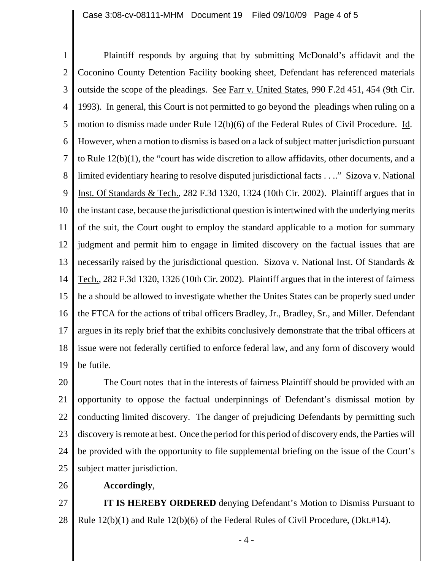1 2 3 4 5 6 7 8 9 10 11 12 13 14 15 16 17 18 19 Plaintiff responds by arguing that by submitting McDonald's affidavit and the Coconino County Detention Facility booking sheet, Defendant has referenced materials outside the scope of the pleadings. See Farr v. United States, 990 F.2d 451, 454 (9th Cir. 1993). In general, this Court is not permitted to go beyond the pleadings when ruling on a motion to dismiss made under Rule  $12(b)(6)$  of the Federal Rules of Civil Procedure. Id. However, when a motion to dismiss is based on a lack of subject matter jurisdiction pursuant to Rule 12(b)(1), the "court has wide discretion to allow affidavits, other documents, and a limited evidentiary hearing to resolve disputed jurisdictional facts . . .." Sizova v. National Inst. Of Standards & Tech., 282 F.3d 1320, 1324 (10th Cir. 2002). Plaintiff argues that in the instant case, because the jurisdictional question is intertwined with the underlying merits of the suit, the Court ought to employ the standard applicable to a motion for summary judgment and permit him to engage in limited discovery on the factual issues that are necessarily raised by the jurisdictional question. Sizova v. National Inst. Of Standards & Tech., 282 F.3d 1320, 1326 (10th Cir. 2002). Plaintiff argues that in the interest of fairness he a should be allowed to investigate whether the Unites States can be properly sued under the FTCA for the actions of tribal officers Bradley, Jr., Bradley, Sr., and Miller. Defendant argues in its reply brief that the exhibits conclusively demonstrate that the tribal officers at issue were not federally certified to enforce federal law, and any form of discovery would be futile.

20 21 22 23 24 25 The Court notes that in the interests of fairness Plaintiff should be provided with an opportunity to oppose the factual underpinnings of Defendant's dismissal motion by conducting limited discovery. The danger of prejudicing Defendants by permitting such discovery is remote at best. Once the period for this period of discovery ends, the Parties will be provided with the opportunity to file supplemental briefing on the issue of the Court's subject matter jurisdiction.

26

**Accordingly**,

27 28 **IT IS HEREBY ORDERED** denying Defendant's Motion to Dismiss Pursuant to Rule 12(b)(1) and Rule 12(b)(6) of the Federal Rules of Civil Procedure, (Dkt.#14).

- 4 -